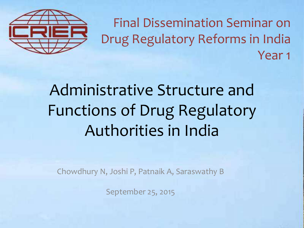

Final Dissemination Seminar on Drug Regulatory Reforms in India Year 1

#### Administrative Structure and Functions of Drug Regulatory Authorities in India

Chowdhury N, Joshi P, Patnaik A, Saraswathy B

September 25, 2015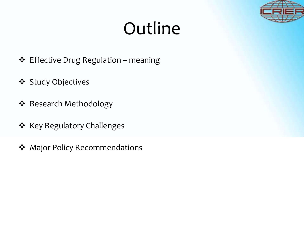### Outline

- $\div$  Effective Drug Regulation meaning
- **❖** Study Objectives
- Research Methodology
- ❖ Key Regulatory Challenges
- ◆ Major Policy Recommendations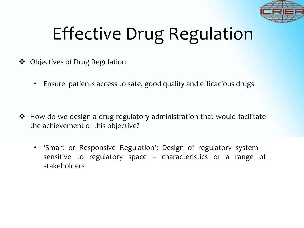

# Effective Drug Regulation

- **❖** Objectives of Drug Regulation
	- Ensure patients access to safe, good quality and efficacious drugs

- $\cdot$  How do we design a drug regulatory administration that would facilitate the achievement of this objective?
	- 'Smart or Responsive Regulation': Design of regulatory system sensitive to regulatory space – characteristics of a range of stakeholders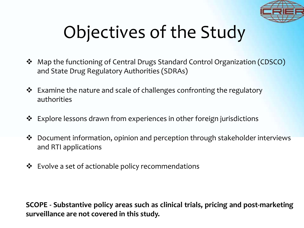

## Objectives of the Study

- Map the functioning of Central Drugs Standard Control Organization (CDSCO) and State Drug Regulatory Authorities (SDRAs)
- $\cdot$  Examine the nature and scale of challenges confronting the regulatory authorities
- Explore lessons drawn from experiences in other foreign jurisdictions
- Document information, opinion and perception through stakeholder interviews and RTI applications
- $\cdot$  Evolve a set of actionable policy recommendations

**SCOPE - Substantive policy areas such as clinical trials, pricing and post-marketing surveillance are not covered in this study.**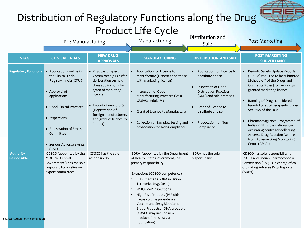#### Distribution of Regulatory Functions along the Drug Product Life Cycle Pre Manufacturing Manufacturing Manufacturing Distribution and Post Marketing **STAGE CLINICAL TRIALS NEW DRUG APPROVALS MANUFACTURING DISTRIBUTION AND SALE POST MARKETING SURVEILLANCE Regulatory Functions • Applications online in** the Clinical Trials Registry - India (CTRI) Approval of applications Good Clinical Practices • Inspections • Registration of Ethics Committee • Serious Adverse Events (SAE) • 12 Subject Expert Committees (SECs) for deliberation on new drug applications for grant of marketing licence Import of new drugs (Registration of foreign manufacturers and grant of licence to import) Application for Licence to manufacture (Generics and those with marketing licence) Inspection of Good Manufacturing Practices (WHO-GMP/Schedule M) Grant of Licence to Manufacture • Collection of Samples, testing and prosecution for Non-Compliance Application for Licence to distribute and sell • Inspection of Good Distribution Practices (GDP) and sale premises Grant of Licence to distribute and sell Prosecution for Non-**Compliance**  Periodic Safety Update Reports (PSURs) required to be submitted (Schedule Y of the Drugs and Cosmetics Rules) for new drugs granted marketing licence Banning of Drugs considered harmful or sub-therapeutic under Sec. 26A of the DCA Pharmacovigilance Programme of India (PvPI) is the national coordinating centre for collecting Adverse Drug Reaction Reports from Adverse Drug Monitoring Centre(AMCs) **Authority Responsible** CDSCO (appointed by the MOHFW, Central Government.) has the sole responsibility – relies on expert committees. CDSCO has the sole responsibility SDRA (appointed by the Department of Health, State Government) has primary responsibility Exceptions (CDSCO competence) • CDSCO acts as SDRA in Union Territories (e.g. Delhi) • WHO-GMP Inspections • High Risk Products (IV Fluids, Large volume parenterals, Vaccine and Sera, Blood and Blood Products, r-DNA products (CDSCO may include new products in this list via SDRA has the sole responsibility CDSCO has sole responsibility for PSURs and Indian Pharmacopoeia Commission (IPC) is in charge of coordinating Adverse Drug Reports (ADRs) *Source:* Authors' own compilation

notification)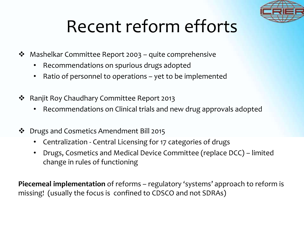

#### Recent reform efforts

- Mashelkar Committee Report 2003 quite comprehensive
	- Recommendations on spurious drugs adopted
	- Ratio of personnel to operations yet to be implemented
- Ranjit Roy Chaudhary Committee Report 2013
	- Recommendations on Clinical trials and new drug approvals adopted
- Drugs and Cosmetics Amendment Bill 2015
	- Centralization Central Licensing for 17 categories of drugs
	- Drugs, Cosmetics and Medical Device Committee (replace DCC) limited change in rules of functioning

**Piecemeal implementation** of reforms – regulatory 'systems' approach to reform is missing! (usually the focus is confined to CDSCO and not SDRAs)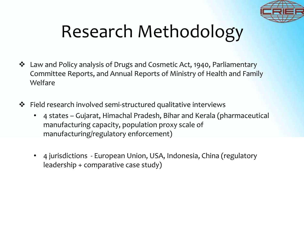

#### Research Methodology

- Law and Policy analysis of Drugs and Cosmetic Act, 1940, Parliamentary Committee Reports, and Annual Reports of Ministry of Health and Family Welfare
- Field research involved semi-structured qualitative interviews
	- 4 states Gujarat, Himachal Pradesh, Bihar and Kerala (pharmaceutical manufacturing capacity, population proxy scale of manufacturing/regulatory enforcement)
	- 4 jurisdictions European Union, USA, Indonesia, China (regulatory leadership + comparative case study)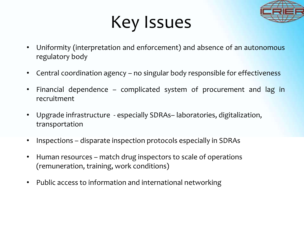

#### Key Issues

- Uniformity (interpretation and enforcement) and absence of an autonomous regulatory body
- Central coordination agency no singular body responsible for effectiveness
- Financial dependence complicated system of procurement and lag in recruitment
- Upgrade infrastructure especially SDRAs– laboratories, digitalization, transportation
- Inspections disparate inspection protocols especially in SDRAs
- Human resources match drug inspectors to scale of operations (remuneration, training, work conditions)
- Public access to information and international networking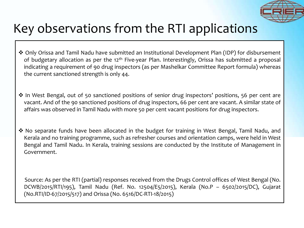

#### Key observations from the RTI applications

- Only Orissa and Tamil Nadu have submitted an Institutional Development Plan (IDP) for disbursement of budgetary allocation as per the 12<sup>th</sup> Five-year Plan. Interestingly, Orissa has submitted a proposal indicating a requirement of 90 drug inspectors (as per Mashelkar Committee Report formula) whereas the current sanctioned strength is only 44.
- ❖ In West Bengal, out of 50 sanctioned positions of senior drug inspectors' positions, 56 per cent are vacant. And of the 90 sanctioned positions of drug inspectors, 66 per cent are vacant. A similar state of affairs was observed in Tamil Nadu with more 50 per cent vacant positions for drug inspectors.
- ◆ No separate funds have been allocated in the budget for training in West Bengal, Tamil Nadu, and Kerala and no training programme, such as refresher courses and orientation camps, were held in West Bengal and Tamil Nadu. In Kerala, training sessions are conducted by the Institute of Management in Government.

Source: As per the RTI (partial) responses received from the Drugs Control offices of West Bengal (No. DCWB/2015/RTI/195), Tamil Nadu (Ref. No. 12504/E5/2015), Kerala (No.P – 6502/2015/DC), Gujarat (No.RTI/ID-67/2015/517) and Orissa (No. 6516/DC-RTI-18/2015)